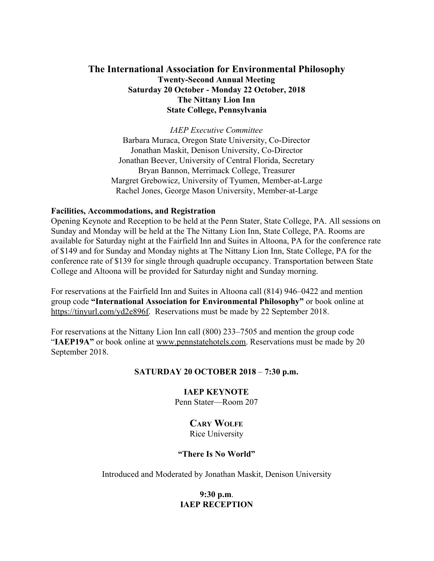# **The International Association for Environmental Philosophy Twenty-Second Annual Meeting Saturday 20 October - Monday 22 October, 2018 The Nittany Lion Inn State College, Pennsylvania**

*IAEP Executive Committee* Barbara Muraca, Oregon State University, Co-Director Jonathan Maskit, Denison University, Co-Director Jonathan Beever, University of Central Florida, Secretary Bryan Bannon, Merrimack College, Treasurer Margret Grebowicz, University of Tyumen, Member-at-Large Rachel Jones, George Mason University, Member-at-Large

#### **Facilities, Accommodations, and Registration**

Opening Keynote and Reception to be held at the Penn Stater, State College, PA. All sessions on Sunday and Monday will be held at the The Nittany Lion Inn, State College, PA. Rooms are available for Saturday night at the Fairfield Inn and Suites in Altoona, PA for the conference rate of \$149 and for Sunday and Monday nights at The Nittany Lion Inn, State College, PA for the conference rate of \$139 for single through quadruple occupancy. Transportation between State College and Altoona will be provided for Saturday night and Sunday morning.

For reservations at the Fairfield Inn and Suites in Altoona call (814) 946–0422 and mention group code **"International Association for Environmental Philosophy"** or book online at [https://tinyurl.com/yd2e896f.](https://tinyurl.com/yd2e896f) Reservations must be made by 22 September 2018.

For reservations at the Nittany Lion Inn call (800) 233–7505 and mention the group code "**IAEP19A**" or book online at [www.pennstatehotels.com.](http://www.pennstatehotels.com/) Reservations must be made by 20 September 2018.

### **SATURDAY 20 OCTOBER 2018** – **7:30 p.m.**

#### **IAEP KEYNOTE**

Penn Stater—Room 207

# **CARY WOLFE**

Rice University

### **"There Is No World"**

Introduced and Moderated by Jonathan Maskit, Denison University

# **9:30 p.m**. **IAEP RECEPTION**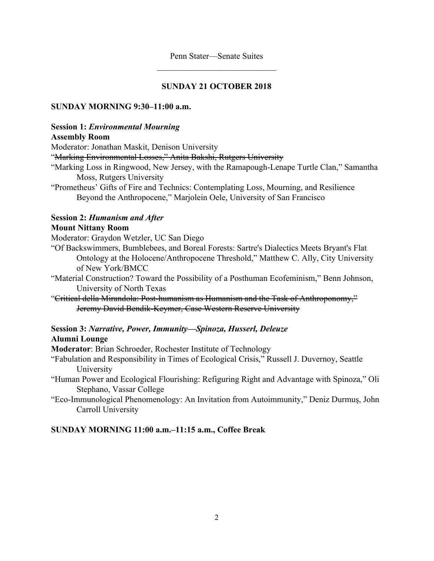### **SUNDAY 21 OCTOBER 2018**

### **SUNDAY MORNING 9:30–11:00 a.m.**

### **Session 1:** *Environmental Mourning*

### **Assembly Room**

Moderator: Jonathan Maskit, Denison University

"Marking Environmental Losses," Anita Bakshi, Rutgers University

- "Marking Loss in Ringwood, New Jersey, with the Ramapough-Lenape Turtle Clan," Samantha Moss, Rutgers University
- "Prometheus' Gifts of Fire and Technics: Contemplating Loss, Mourning, and Resilience Beyond the Anthropocene," Marjolein Oele, University of San Francisco

### **Session 2:** *Humanism and After*

### **Mount Nittany Room**

Moderator: Graydon Wetzler, UC San Diego

- "Of Backswimmers, Bumblebees, and Boreal Forests: Sartre's Dialectics Meets Bryant's Flat Ontology at the Holocene/Anthropocene Threshold," Matthew C. Ally, City University of New York/BMCC
- "Material Construction? Toward the Possibility of a Posthuman Ecofeminism," Benn Johnson, University of North Texas
- "Critical della Mirandola: Post-humanism as Humanism and the Task of Anthroponomy," Jeremy David Bendik-Keymer, Case Western Reserve University

# **Session 3:** *Narrative, Power, Immunity—Spinoza, Husserl, Deleuze* **Alumni Lounge**

**Moderator**: Brian Schroeder, Rochester Institute of Technology

"Fabulation and Responsibility in Times of Ecological Crisis," Russell J. Duvernoy, Seattle University

- "Human Power and Ecological Flourishing: Refiguring Right and Advantage with Spinoza," Oli Stephano, Vassar College
- "Eco-Immunological Phenomenology: An Invitation from Autoimmunity," Deniz Durmuş, John Carroll University

### **SUNDAY MORNING 11:00 a.m.–11:15 a.m., Coffee Break**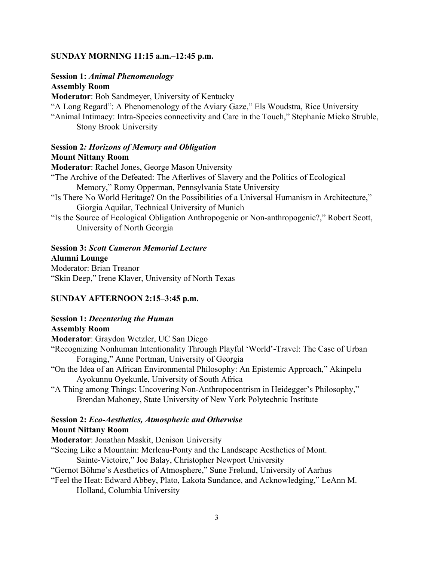#### **SUNDAY MORNING 11:15 a.m.–12:45 p.m.**

#### **Session 1:** *Animal Phenomenology*

**Assembly Room**

**Moderator**: Bob Sandmeyer, University of Kentucky

"A Long Regard": A Phenomenology of the Aviary Gaze," Els Woudstra, Rice University

"Animal Intimacy: Intra-Species connectivity and Care in the Touch," Stephanie Mieko Struble, Stony Brook University

### **Session 2***: Horizons of Memory and Obligation* **Mount Nittany Room**

**Moderator**: Rachel Jones, George Mason University

"The Archive of the Defeated: The Afterlives of Slavery and the Politics of Ecological Memory," Romy Opperman, Pennsylvania State University

- "Is There No World Heritage? On the Possibilities of a Universal Humanism in Architecture," Giorgia Aquilar, Technical University of Munich
- "Is the Source of Ecological Obligation Anthropogenic or Non-anthropogenic?," Robert Scott, University of North Georgia

#### **Session 3:** *Scott Cameron Memorial Lecture*

**Alumni Lounge**

Moderator: Brian Treanor "Skin Deep," Irene Klaver, University of North Texas

#### **SUNDAY AFTERNOON 2:15–3:45 p.m.**

### **Session 1:** *Decentering the Human*

**Assembly Room**

**Moderator**: Graydon Wetzler, UC San Diego

"Recognizing Nonhuman Intentionality Through Playful 'World'-Travel: The Case of Urban Foraging," Anne Portman, University of Georgia

"On the Idea of an African Environmental Philosophy: An Epistemic Approach," Akinpelu Ayokunnu Oyekunle, University of South Africa

"A Thing among Things: Uncovering Non-Anthropocentrism in Heidegger's Philosophy," Brendan Mahoney, State University of New York Polytechnic Institute

### **Session 2:** *Eco-Aesthetics, Atmospheric and Otherwise* **Mount Nittany Room**

**Moderator**: Jonathan Maskit, Denison University

"Seeing Like a Mountain: Merleau-Ponty and the Landscape Aesthetics of Mont.

Sainte-Victoire," Joe Balay, Christopher Newport University

"Gernot Böhme's Aesthetics of Atmosphere," Sune Frølund, University of Aarhus

"Feel the Heat: Edward Abbey, Plato, Lakota Sundance, and Acknowledging," LeAnn M. Holland, Columbia University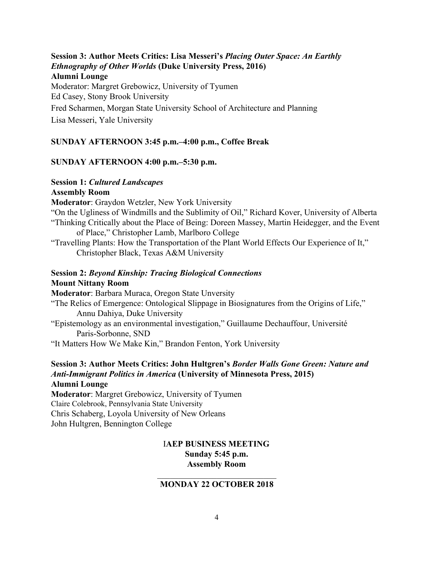**Session 3: Author Meets Critics: Lisa Messeri's** *Placing Outer Space: An Earthly Ethnography of Other Worlds* **(Duke University Press, 2016) Alumni Lounge** Moderator: Margret Grebowicz, University of Tyumen Ed Casey, Stony Brook University Fred Scharmen, Morgan State University School of Architecture and Planning

Lisa Messeri, Yale University

# **SUNDAY AFTERNOON 3:45 p.m.–4:00 p.m., Coffee Break**

### **SUNDAY AFTERNOON 4:00 p.m.–5:30 p.m.**

# **Session 1:** *Cultured Landscapes*

## **Assembly Room**

**Moderator**: Graydon Wetzler, New York University

"On the Ugliness of Windmills and the Sublimity of Oil," Richard Kover, University of Alberta "Thinking Critically about the Place of Being: Doreen Massey, Martin Heidegger, and the Event of Place," Christopher Lamb, Marlboro College

"Travelling Plants: How the Transportation of the Plant World Effects Our Experience of It," Christopher Black, Texas A&M University

### **Session 2:** *Beyond Kinship: Tracing Biological Connections* **Mount Nittany Room**

**Moderator**: Barbara Muraca, Oregon State Unversity

- "The Relics of Emergence: Ontological Slippage in Biosignatures from the Origins of Life," Annu Dahiya, Duke University
- "Epistemology as an environmental investigation," Guillaume Dechauffour, Université Paris-Sorbonne, SND
- "It Matters How We Make Kin," Brandon Fenton, York University

### **Session 3: Author Meets Critics: John Hultgren's** *Border Walls Gone Green: Nature and Anti-Immigrant Politics in America* **(University of Minnesota Press, 2015) Alumni Lounge**

**Moderator**: Margret Grebowicz, University of Tyumen Claire Colebrook, Pennsylvania State University Chris Schaberg, Loyola University of New Orleans John Hultgren, Bennington College

## I**AEP BUSINESS MEETING Sunday 5:45 p.m. Assembly Room**

### $\mathcal{L}_\text{max}$  , where  $\mathcal{L}_\text{max}$  , we have the set of  $\mathcal{L}_\text{max}$ **MONDAY 22 OCTOBER 2018**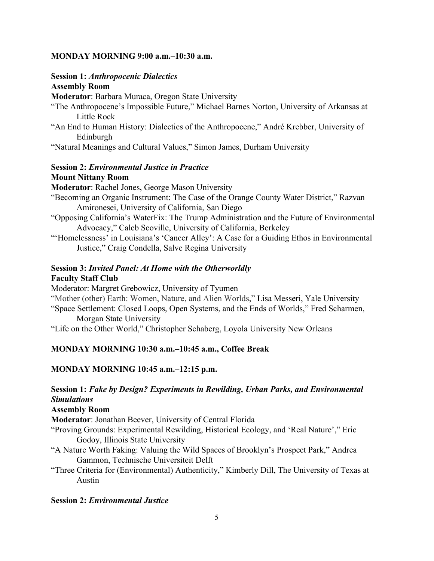### **MONDAY MORNING 9:00 a.m.–10:30 a.m.**

### **Session 1:** *Anthropocenic Dialectics*

### **Assembly Room**

**Moderator**: Barbara Muraca, Oregon State University

- "The Anthropocene's Impossible Future," Michael Barnes Norton, University of Arkansas at Little Rock
- "An End to Human History: Dialectics of the Anthropocene," André Krebber, University of Edinburgh
- "Natural Meanings and Cultural Values," Simon James, Durham University

### **Session 2:** *Environmental Justice in Practice* **Mount Nittany Room**

**Moderator**: Rachel Jones, George Mason University

- "Becoming an Organic Instrument: The Case of the Orange County Water District," Razvan Amironesei, University of California, San Diego
- "Opposing California's WaterFix: The Trump Administration and the Future of Environmental Advocacy," Caleb Scoville, University of California, Berkeley
- "'Homelessness' in Louisiana's 'Cancer Alley': A Case for a Guiding Ethos in Environmental Justice," Craig Condella, Salve Regina University

# **Session 3:** *Invited Panel: At Home with the Otherworldly* **Faculty Staff Club**

Moderator: Margret Grebowicz, University of Tyumen "Mother (other) Earth: Women, Nature, and Alien Worlds," Lisa Messeri, Yale University "Space Settlement: Closed Loops, Open Systems, and the Ends of Worlds," Fred Scharmen, Morgan State University

"Life on the Other World," Christopher Schaberg, Loyola University New Orleans

### **MONDAY MORNING 10:30 a.m.–10:45 a.m., Coffee Break**

### **MONDAY MORNING 10:45 a.m.–12:15 p.m.**

#### **Session 1:** *Fake by Design? Experiments in Rewilding, Urban Parks, and Environmental Simulations*

**Assembly Room**

**Moderator**: Jonathan Beever, University of Central Florida

- "Proving Grounds: Experimental Rewilding, Historical Ecology, and 'Real Nature'," Eric Godoy, Illinois State University
- "A Nature Worth Faking: Valuing the Wild Spaces of Brooklyn's Prospect Park," Andrea Gammon, Technische Universiteit Delft

"Three Criteria for (Environmental) Authenticity," Kimberly Dill, The University of Texas at Austin

### **Session 2:** *Environmental Justice*